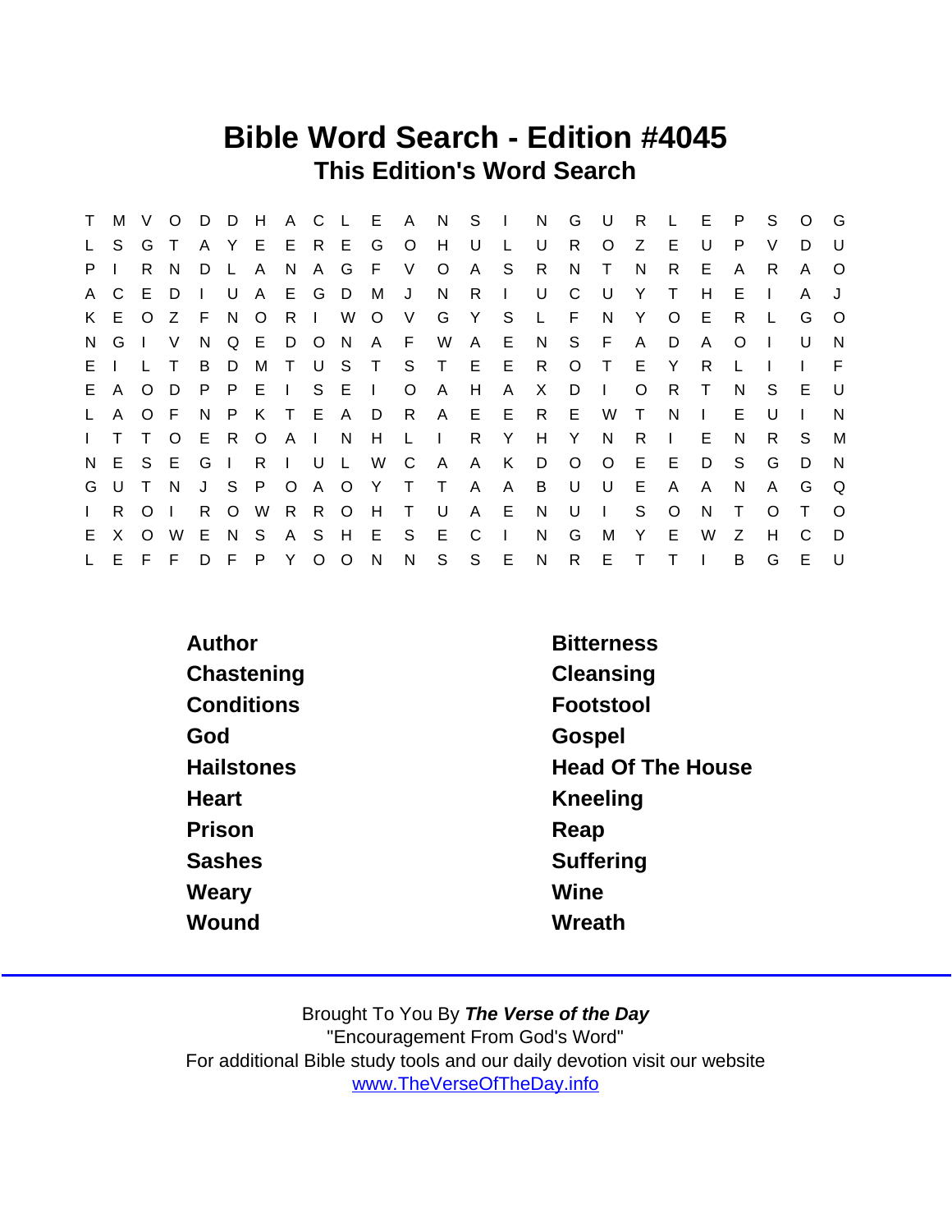## Bible Word Search - Edition #4045 This Edition's Word Search

| T.           | M            | - V          | $\circ$  | D   | D              |              |     |         |              |               |              | H A C L E A N S I |              |              | N            | G            | - U        | R.           | $\mathsf{L}$ | E.           | P.           | S.           | $\Omega$ | G            |
|--------------|--------------|--------------|----------|-----|----------------|--------------|-----|---------|--------------|---------------|--------------|-------------------|--------------|--------------|--------------|--------------|------------|--------------|--------------|--------------|--------------|--------------|----------|--------------|
| L.           | S.           | G            |          |     |                | A Y E E R    |     |         | E G          |               | $\circ$      | H                 | U            |              | U            | R.           | O          | Z            | E.           | U            | P            | V            | D.       | $\mathbf{U}$ |
| P.           |              | R.           | - N      | D   | $\mathsf{L}$   | A            | N.  | A       | G            | - F           | V.           | $\circ$           | $\mathsf{A}$ | S.           | R            | N            | T.         | N            | R.           | E.           | A            | R            | A        | $\circ$      |
|              | A C          | E D          |          |     | U              | $\mathsf{A}$ |     | E G     | D            | - M           | J            | N.                | R.           | $\mathbf{L}$ | U            | C            | U          | Y            | $\top$       | H            | Е            |              | A        |              |
|              | K E          |              | OZ       | - F | N.             | $\circ$      | $R$ |         | W            | $\circ$       | V            | G                 | Y            | S.           |              | L F          | N.         | Y            | O            | E            | R.           | $\mathbf{L}$ | G        | $\circ$      |
| N,           | G            |              | V        | N.  |                | Q E          |     | D O     | N.           | A F           |              | W                 | $\mathsf{A}$ | - E -        | N.           |              | S F        | $\mathsf{A}$ | D            | A            | $\Omega$     |              | U        | N            |
|              | E I          | $\mathbf{L}$ |          | B   | D              | M            | T U |         | S T          |               | S T          |                   |              | E E          | R            | $\circ$      | $\top$     | E            | Y            | R            |              |              |          | F            |
| E.           | $\mathsf{A}$ |              | $O$ D    | P.  | P              | E I          |     | S.      | E            | $\mathcal{L}$ | $\circ$      | $\mathsf{A}$      | H            | $\mathsf{A}$ | X            | D            | $\sim 1$ . | $\Omega$     | R.           | $\top$       | N.           | S            | E        | -U           |
| $\mathsf{L}$ | A            | $O$ F        |          | N.  | P              | K T E A D    |     |         |              |               | R            | $\mathsf{A}$      |              | $E$ $E$      | R            | E            | W          | $\top$       | N.           | $\mathbf{I}$ | E            | U            |          | N            |
| $\mathbf{L}$ | T.           | $\top$       | $\Omega$ | E.  |                | R O A I      |     |         | N            | H             | $\mathsf{L}$ | $\mathbf{L}$      | R            | Y            | H            | Y            | N          | R.           | $\mathbf{I}$ | E.           | N.           | R.           | S.       | M            |
| N.           | E            | S E          |          | G   | $\blacksquare$ | $R \mid$     |     | U       | $\mathsf{L}$ | W             | C            | A                 | $\mathsf{A}$ | K            | D            | $\circ$      | $\circ$    | Е            | - E          | D            | S.           | G            | D        | N            |
| G            | U            | $\top$       | - N      |     | J S            | P.           |     | $O$ A   |              | O Y           | $\top$       | $\top$            | $\mathsf{A}$ | A            | B            | U            | U          | Е            | A            | A            | <sub>N</sub> | A            | G        | Q            |
| $\mathbf{L}$ | R.           | $\Omega$     |          | R.  | $\circ$        | W            |     | R R     | $\circ$      | H             | $\top$       | - U               | A            | E.           | N            | U            | $\sim 1$ . | S.           | $\circ$      | N            | T.           | O            | Τ        | $\Omega$     |
| E.           | X            | $\Omega$     | W        | E.  | N.             | S.           | A S |         | H            | E.            | S            | E.                | C            | $\perp$      | N            | G            | м          | Y            | E.           | W            | Z            | н            | C        | D            |
| L.           | E            | F F          |          |     | D F            |              |     | P Y O O |              | N             | N            | S                 | S            | E            | $\mathsf{N}$ | $\mathsf{R}$ | E          | $\top$       | $\top$       |              | B            | G            | E.       | - U          |

| Author            | <b>Bitterness</b>        |
|-------------------|--------------------------|
| Chastening        | Cleansing                |
| Conditions        | Footstool                |
| God               | Gospel                   |
| <b>Hailstones</b> | <b>Head Of The House</b> |
| Heart             | Kneeling                 |
| Prison            | Reap                     |
| <b>Sashes</b>     | Suffering                |
| Weary             | Wine                     |
| Wound             | Wreath                   |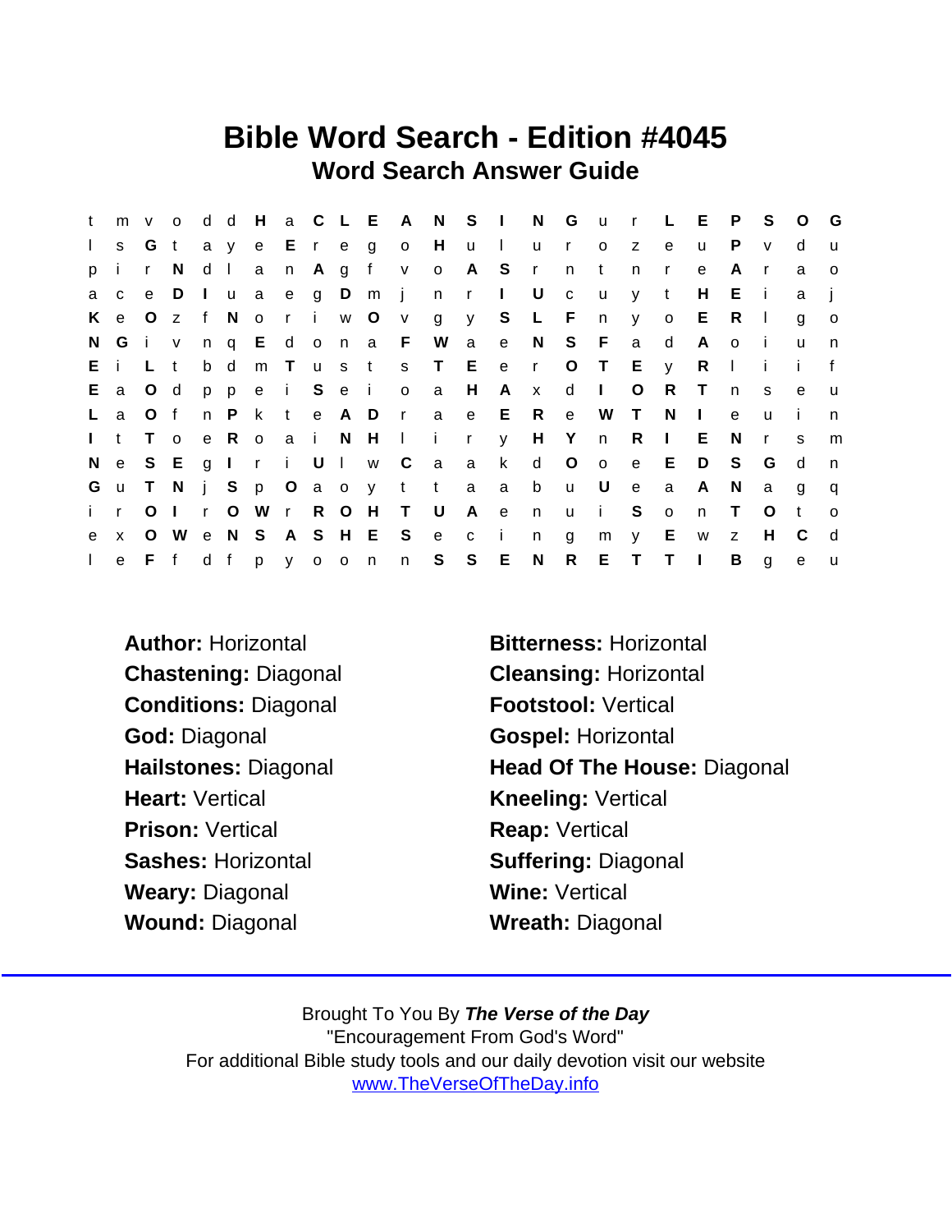## Bible Word Search - Edition #4045 Word Search Answer Guide

| t            |              | $m \vee o$     |              |              | d d      | H             |         |  |                   |                   | a C L E A N S I N |          |              |              |              | G u r L E      |              |              |                | P              | S.             | $\circ$      | G            |
|--------------|--------------|----------------|--------------|--------------|----------|---------------|---------|--|-------------------|-------------------|-------------------|----------|--------------|--------------|--------------|----------------|--------------|--------------|----------------|----------------|----------------|--------------|--------------|
| $\mathbf{L}$ | S.           | G t            |              |              |          |               |         |  |                   | a y e E r e g o H |                   | <b>u</b> | $\sim 1$ .   |              | u ro         |                | Z.           | $\mathbf{e}$ | $\mathsf{u}$   | P.             | $\mathsf{V}$   | d            | $\mathbf{u}$ |
| p.           |              | $\mathsf{r}$   | <sup>N</sup> |              | $d \mid$ |               |         |  | an Agfv           |                   | $\circ$           |          | A S r        |              | n            | $-t$           | n.           | $\mathsf{r}$ | e              | A              | r              | a            | $\Omega$     |
| a            | $\mathbf{C}$ |                | e D          |              |          |               |         |  |                   |                   | lua eg Dmjnrl U   |          |              |              | $\mathbf{C}$ | <b>u</b>       | y            | $-t$         | H              | E.             | $\blacksquare$ | a            |              |
| K            | e            | O z            |              |              | f No     |               | $r - i$ |  | w O               | $\mathsf{V}$      | g                 |          |              | y S L F      |              | n              | y            | $\circ$      | E.             | R.             | $\mathbf{L}$   | g            | $\circ$      |
|              | NG i v       |                |              |              |          |               |         |  |                   | ng Edona FW       |                   |          |              | a e N S F    |              |                | a            | d            | $\mathsf{A}$   | $\circ$        | - i-           | u            | n            |
|              | Ei           | L t            |              |              | b d      |               |         |  |                   |                   | m Tusts TE e      |          |              | $\mathsf{r}$ |              | $O$ T          | $E \quad y$  |              | R.             | $\Box$         | i.             | i.           | $\mathbf{f}$ |
| E.           |              | a O d          |              |              |          | p p e i S e i |         |  |                   | $\circ$           | a                 | H        | A            | $\mathbf{x}$ | $d \mid$     |                | $\circ$      | R.           | $\top$         | n              | S.             | $\mathbf{e}$ | <b>u</b>     |
| $\mathsf{L}$ | a            | O f            |              |              | n P      | k.            | t e A D |  |                   | r a               |                   | e —      |              | E R          | e            | W              | $\top$       | N.           | $\mathcal{L}$  | $\mathbf{e}$   | u              | - 1          | n            |
| $\mathbf{L}$ | t            | T o            |              |              |          |               |         |  |                   |                   | e Roai N H I i r  |          | $\mathsf{V}$ |              |              | H Y n          | R            | $\sim 1$ .   | Е              | N.             | $\mathsf{r}$   | <sub>S</sub> | m            |
| N.           | e            | S E            |              |              |          |               |         |  | g I r i U I w C   |                   | a a               |          | $\mathsf{k}$ | $\mathsf{d}$ | $\circ$      | $\overline{O}$ | e            | E            | D              | S.             | G              | d            | n            |
| G            |              | u T N          |              |              |          |               |         |  |                   |                   | j Sp O a o y t ta |          | $\mathsf{a}$ | b            |              | u U            | e            | a            | A              | N <sub>N</sub> | a              | g            | q            |
| i.           | $\mathbf{r}$ | O <sub>1</sub> |              | $\mathbf{r}$ | $\circ$  |               |         |  |                   | W r R O H T U     |                   | A        | e            | n            |              | u i            | S            | $\circ$      | n              | $\top$         | O              | t            | $\circ$      |
| e            | $\mathsf{X}$ | $\circ$        |              |              |          |               |         |  | W e N S A S H E S |                   | e c               |          | $\mathbf{i}$ | n            | g            | m              | $\mathsf{V}$ | E            | W              | Z              | H              | - C          | d            |
| $\Gamma$ .   |              | e F f          |              |              |          | d f p y o o n |         |  |                   | n S               |                   | S        | E            | N            | R            | E.             | $T$ $T$      |              | $\blacksquare$ | B              | $\mathbf{q}$   | $\mathbf{e}$ | u            |

Conditions: Diagonal Footstool: Vertical God: Diagonal Gospel: Horizontal Heart: Vertical **Kneeling: Vertical** Prison: Vertical Reap: Vertical Sashes: Horizontal Suffering: Diagonal Weary: Diagonal Wine: Vertical Wound: Diagonal Wreath: Diagonal

Author: Horizontal **Bitterness: Horizontal** Chastening: Diagonal Cleansing: Horizontal Hailstones: Diagonal Head Of The House: Diagonal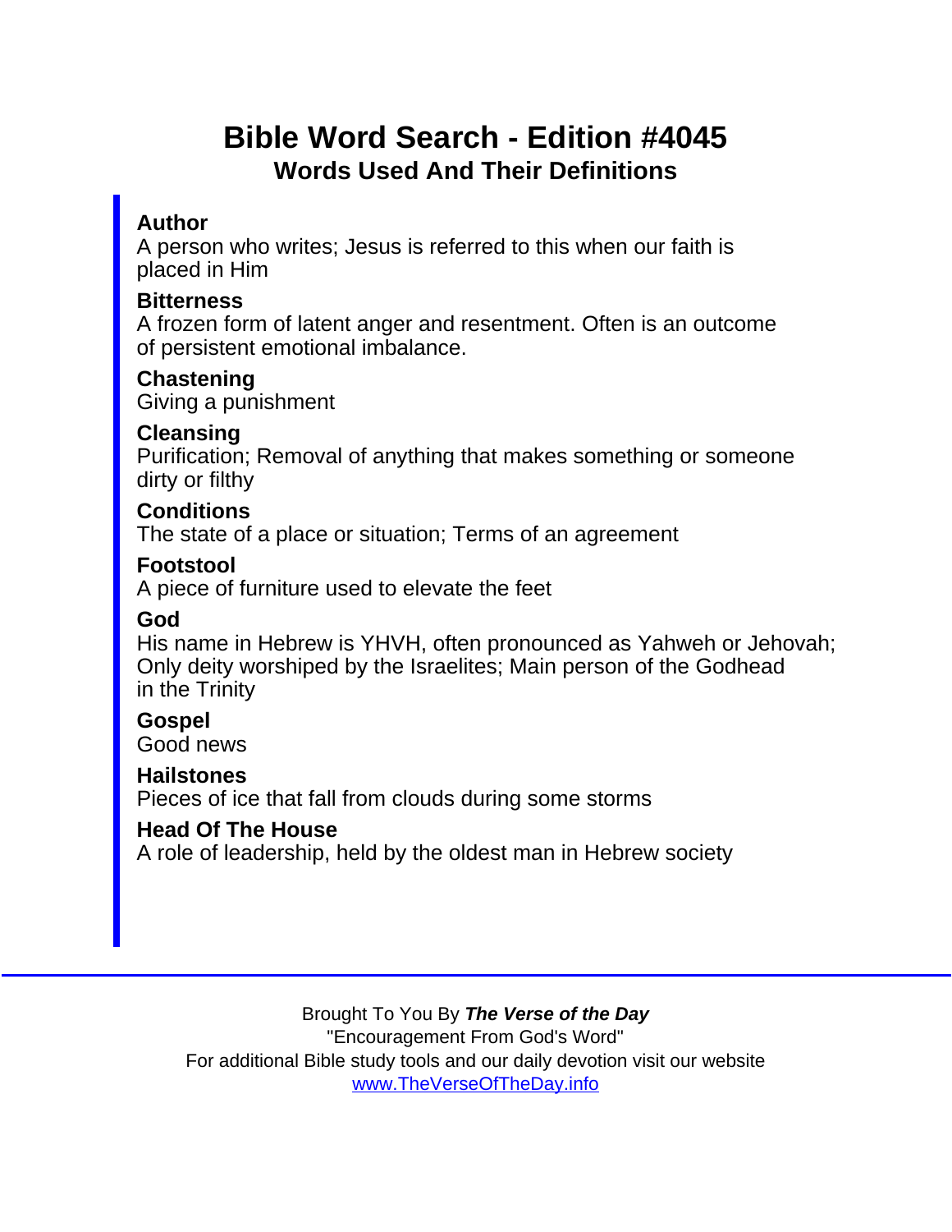# Bible Word Search - Edition #4045 Words Used And Their Definitions

#### Author

A person who writes; Jesus is referred to this when our faith is placed in Him

**Bitterness** 

A frozen form of latent anger and resentment. Often is an outcome of persistent emotional imbalance.

**Chastening** 

Giving a punishment

Cleansing

Purification; Removal of anything that makes something or someone dirty or filthy

**Conditions** 

The state of a place or situation; Terms of an agreement

Footstool

A piece of furniture used to elevate the feet

God

His name in Hebrew is YHVH, often pronounced as Yahweh or Jehovah; Only deity worshiped by the Israelites; Main person of the Godhead in the Trinity

**Gospel** Good news

**Hailstones** 

Pieces of ice that fall from clouds during some storms

Head Of The House

A role of leadership, held by the oldest man in Hebrew society